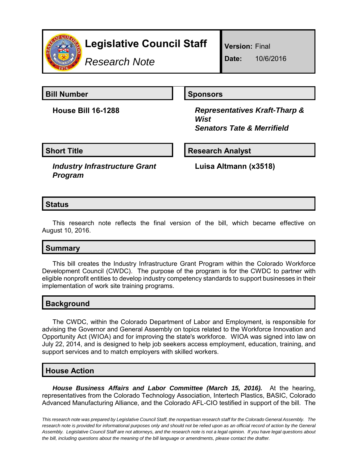

# **Legislative Council Staff**

*Research Note*

**Version:** Final

**Date:** 10/6/2016

**Bill Number Sponsors** 

**House Bill 16-1288** *Representatives Kraft-Tharp & Wist Senators Tate & Merrifield*

**Short Title**  Research Analyst

*Industry Infrastructure Grant Program*

**Luisa Altmann (x3518)**

# **Status**

This research note reflects the final version of the bill, which became effective on August 10, 2016.

# **Summary**

This bill creates the Industry Infrastructure Grant Program within the Colorado Workforce Development Council (CWDC). The purpose of the program is for the CWDC to partner with eligible nonprofit entities to develop industry competency standards to support businesses in their implementation of work site training programs.

### **Background**

The CWDC, within the Colorado Department of Labor and Employment, is responsible for advising the Governor and General Assembly on topics related to the Workforce Innovation and Opportunity Act (WIOA) and for improving the state's workforce. WIOA was signed into law on July 22, 2014, and is designed to help job seekers access employment, education, training, and support services and to match employers with skilled workers.

#### **House Action**

*House Business Affairs and Labor Committee (March 15, 2016).* At the hearing, representatives from the Colorado Technology Association, Intertech Plastics, BASIC, Colorado Advanced Manufacturing Alliance, and the Colorado AFL-CIO testified in support of the bill. The

*This research note was prepared by Legislative Council Staff, the nonpartisan research staff for the Colorado General Assembly. The research note is provided for informational purposes only and should not be relied upon as an official record of action by the General Assembly. Legislative Council Staff are not attorneys, and the research note is not a legal opinion. If you have legal questions about the bill, including questions about the meaning of the bill language or amendments, please contact the drafter.*